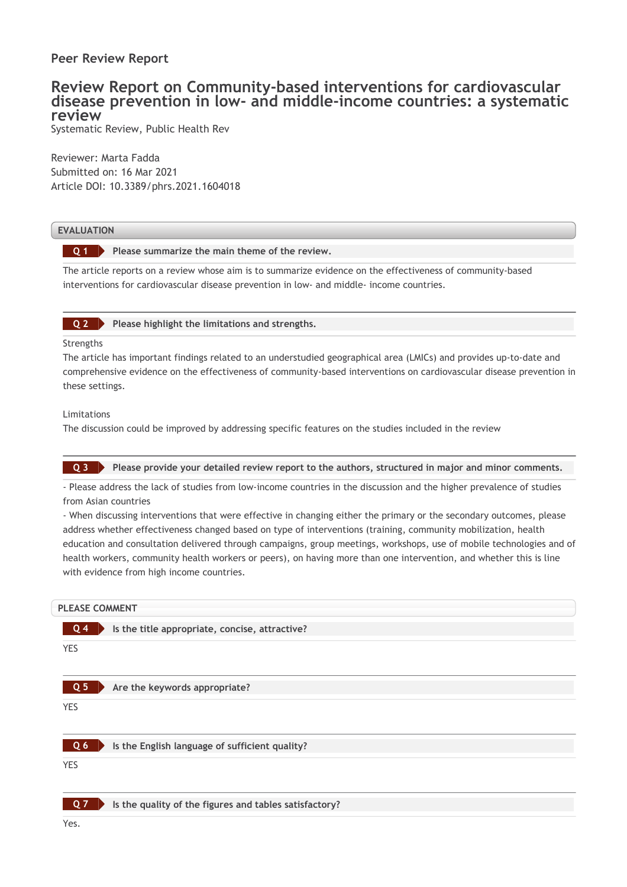## **Peer Review Report**

## **Review Report on Community-based interventions for cardiovascular disease prevention in low- and middle-income countries: a systematic review**

Systematic Review, Public Health Rev

Reviewer: Marta Fadda Submitted on: 16 Mar 2021 Article DOI: 10.3389/phrs.2021.1604018



## Strengths

The article has important findings related to an understudied geographical area (LMICs) and provides up-to-date and comprehensive evidence on the effectiveness of community-based interventions on cardiovascular disease prevention in these settings.

Limitations

The discussion could be improved by addressing specific features on the studies included in the review

**Please provide your detailed review report to the authors, structured in major and minor comments. Q 3**

- Please address the lack of studies from low-income countries in the discussion and the higher prevalence of studies from Asian countries

- When discussing interventions that were effective in changing either the primary or the secondary outcomes, please address whether effectiveness changed based on type of interventions (training, community mobilization, health education and consultation delivered through campaigns, group meetings, workshops, use of mobile technologies and of health workers, community health workers or peers), on having more than one intervention, and whether this is line with evidence from high income countries.

| <b>PLEASE COMMENT</b> |                                                        |
|-----------------------|--------------------------------------------------------|
| $Q$ <sub>4</sub>      | Is the title appropriate, concise, attractive?         |
| <b>YES</b>            |                                                        |
|                       |                                                        |
| Q <sub>5</sub>        | Are the keywords appropriate?                          |
| <b>YES</b>            |                                                        |
|                       |                                                        |
| Q <sub>6</sub>        | Is the English language of sufficient quality?         |
| <b>YES</b>            |                                                        |
|                       |                                                        |
| 0 7                   | Is the quality of the figures and tables satisfactory? |